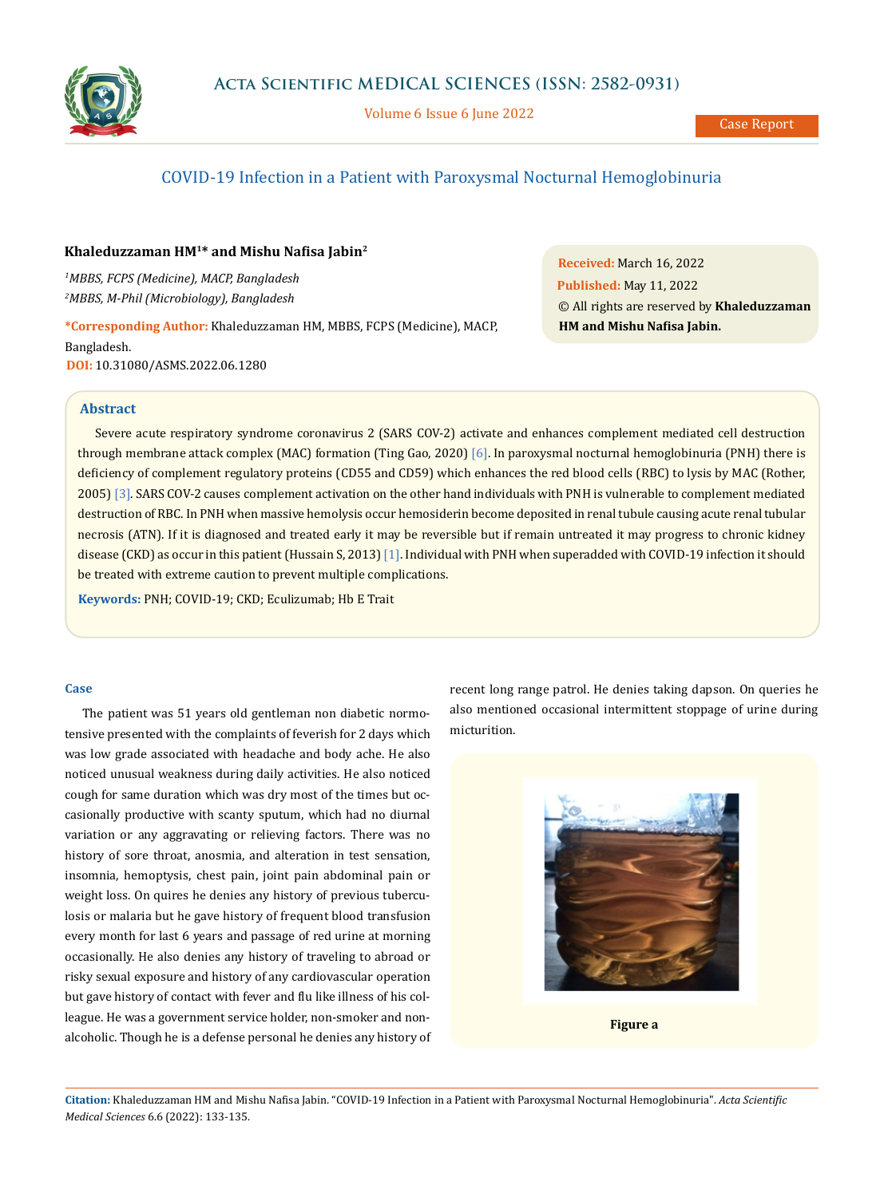

Volume 6 Issue 6 June 2022

# COVID-19 Infection in a Patient with Paroxysmal Nocturnal Hemoglobinuria

# **Khaleduzzaman HM1\* and Mishu Nafisa Jabin<sup>2</sup>**

*1 MBBS, FCPS (Medicine), MACP, Bangladesh 2 MBBS, M-Phil (Microbiology), Bangladesh*

**\*Corresponding Author:** Khaleduzzaman HM, MBBS, FCPS (Medicine), MACP,

Bangladesh. **DOI:** [10.31080/ASMS.2022.06.1280](https://actascientific.com/ASMS/pdf/ASMS-06-1280.pdf)

**Received:** March 16, 2022 **Published:** May 11, 2022 © All rights are reserved by **Khaleduzzaman HM and Mishu Nafisa Jabin.**

## **Abstract**

Severe acute respiratory syndrome coronavirus 2 (SARS COV-2) activate and enhances complement mediated cell destruction through membrane attack complex (MAC) formation (Ting Gao, 2020) [6]. In paroxysmal nocturnal hemoglobinuria (PNH) there is deficiency of complement regulatory proteins (CD55 and CD59) which enhances the red blood cells (RBC) to lysis by MAC (Rother, 2005) [3]. SARS COV-2 causes complement activation on the other hand individuals with PNH is vulnerable to complement mediated destruction of RBC. In PNH when massive hemolysis occur hemosiderin become deposited in renal tubule causing acute renal tubular necrosis (ATN). If it is diagnosed and treated early it may be reversible but if remain untreated it may progress to chronic kidney disease (CKD) as occur in this patient (Hussain S, 2013) [1]. Individual with PNH when superadded with COVID-19 infection it should be treated with extreme caution to prevent multiple complications.

**Keywords:** PNH; COVID-19; CKD; Eculizumab; Hb E Trait

#### **Case**

The patient was 51 years old gentleman non diabetic normotensive presented with the complaints of feverish for 2 days which was low grade associated with headache and body ache. He also noticed unusual weakness during daily activities. He also noticed cough for same duration which was dry most of the times but occasionally productive with scanty sputum, which had no diurnal variation or any aggravating or relieving factors. There was no history of sore throat, anosmia, and alteration in test sensation, insomnia, hemoptysis, chest pain, joint pain abdominal pain or weight loss. On quires he denies any history of previous tuberculosis or malaria but he gave history of frequent blood transfusion every month for last 6 years and passage of red urine at morning occasionally. He also denies any history of traveling to abroad or risky sexual exposure and history of any cardiovascular operation but gave history of contact with fever and flu like illness of his colleague. He was a government service holder, non-smoker and nonalcoholic. Though he is a defense personal he denies any history of recent long range patrol. He denies taking dapson. On queries he also mentioned occasional intermittent stoppage of urine during micturition.



**Figure a**

**Citation:** Khaleduzzaman HM and Mishu Nafisa Jabin*.* "COVID-19 Infection in a Patient with Paroxysmal Nocturnal Hemoglobinuria". *Acta Scientific Medical Sciences* 6.6 (2022): 133-135.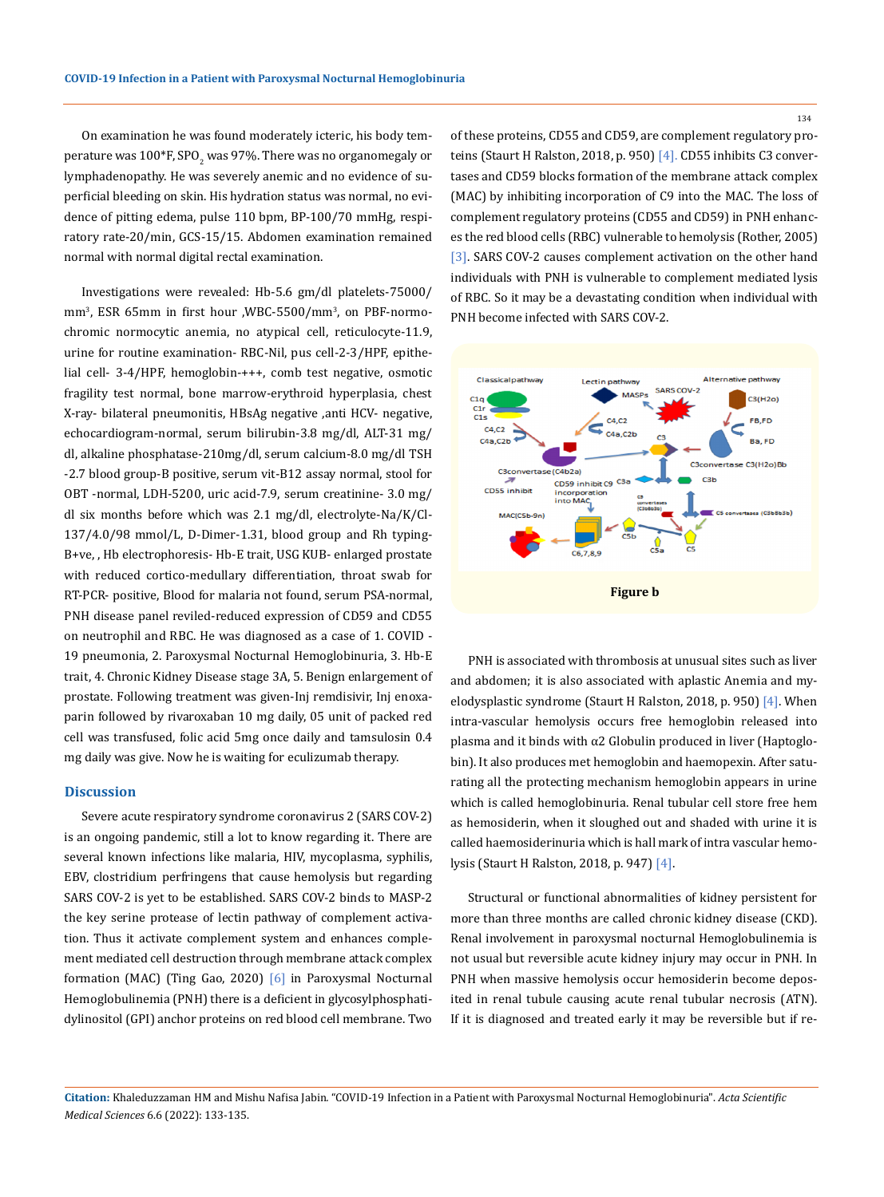On examination he was found moderately icteric, his body temperature was  $100^{\circ}$ F, SPO $_2$  was 97%. There was no organomegaly or lymphadenopathy. He was severely anemic and no evidence of superficial bleeding on skin. His hydration status was normal, no evidence of pitting edema, pulse 110 bpm, BP-100/70 mmHg, respiratory rate-20/min, GCS-15/15. Abdomen examination remained normal with normal digital rectal examination.

Investigations were revealed: Hb-5.6 gm/dl platelets-75000/ mm3 , ESR 65mm in first hour ,WBC-5500/mm<sup>3</sup> , on PBF-normochromic normocytic anemia, no atypical cell, reticulocyte-11.9, urine for routine examination- RBC-Nil, pus cell-2-3/HPF, epithelial cell- 3-4/HPF, hemoglobin-+++, comb test negative, osmotic fragility test normal, bone marrow-erythroid hyperplasia, chest X-ray- bilateral pneumonitis, HBsAg negative ,anti HCV- negative, echocardiogram-normal, serum bilirubin-3.8 mg/dl, ALT-31 mg/ dl, alkaline phosphatase-210mg/dl, serum calcium-8.0 mg/dl TSH -2.7 blood group-B positive, serum vit-B12 assay normal, stool for OBT -normal, LDH-5200, uric acid-7.9, serum creatinine- 3.0 mg/ dl six months before which was 2.1 mg/dl, electrolyte-Na/K/Cl-137/4.0/98 mmol/L, D-Dimer-1.31, blood group and Rh typing-B+ve, , Hb electrophoresis- Hb-E trait, USG KUB- enlarged prostate with reduced cortico-medullary differentiation, throat swab for RT-PCR- positive, Blood for malaria not found, serum PSA-normal, PNH disease panel reviled-reduced expression of CD59 and CD55 on neutrophil and RBC. He was diagnosed as a case of 1. COVID - 19 pneumonia, 2. Paroxysmal Nocturnal Hemoglobinuria, 3. Hb-E trait, 4. Chronic Kidney Disease stage 3A, 5. Benign enlargement of prostate. Following treatment was given-Inj remdisivir, Inj enoxaparin followed by rivaroxaban 10 mg daily, 05 unit of packed red cell was transfused, folic acid 5mg once daily and tamsulosin 0.4 mg daily was give. Now he is waiting for eculizumab therapy.

#### **Discussion**

Severe acute respiratory syndrome coronavirus 2 (SARS COV-2) is an ongoing pandemic, still a lot to know regarding it. There are several known infections like malaria, HIV, mycoplasma, syphilis, EBV, clostridium perfringens that cause hemolysis but regarding SARS COV-2 is yet to be established. SARS COV-2 binds to MASP-2 the key serine protease of lectin pathway of complement activation. Thus it activate complement system and enhances complement mediated cell destruction through membrane attack complex formation (MAC) (Ting Gao, 2020) [6] in Paroxysmal Nocturnal Hemoglobulinemia (PNH) there is a deficient in glycosylphosphatidylinositol (GPI) anchor proteins on red blood cell membrane. Two

of these proteins, CD55 and CD59, are complement regulatory proteins (Staurt H Ralston, 2018, p. 950) [4]. CD55 inhibits C3 convertases and CD59 blocks formation of the membrane attack complex (MAC) by inhibiting incorporation of C9 into the MAC. The loss of complement regulatory proteins (CD55 and CD59) in PNH enhances the red blood cells (RBC) vulnerable to hemolysis (Rother, 2005) [3]. SARS COV-2 causes complement activation on the other hand individuals with PNH is vulnerable to complement mediated lysis of RBC. So it may be a devastating condition when individual with PNH become infected with SARS COV-2.



PNH is associated with thrombosis at unusual sites such as liver and abdomen; it is also associated with aplastic Anemia and myelodysplastic syndrome (Staurt H Ralston, 2018, p. 950) [4]. When intra-vascular hemolysis occurs free hemoglobin released into plasma and it binds with α2 Globulin produced in liver (Haptoglobin). It also produces met hemoglobin and haemopexin. After saturating all the protecting mechanism hemoglobin appears in urine which is called hemoglobinuria. Renal tubular cell store free hem as hemosiderin, when it sloughed out and shaded with urine it is called haemosiderinuria which is hall mark of intra vascular hemolysis (Staurt H Ralston, 2018, p. 947) [4].

Structural or functional abnormalities of kidney persistent for more than three months are called chronic kidney disease (CKD). Renal involvement in paroxysmal nocturnal Hemoglobulinemia is not usual but reversible acute kidney injury may occur in PNH. In PNH when massive hemolysis occur hemosiderin become deposited in renal tubule causing acute renal tubular necrosis (ATN). If it is diagnosed and treated early it may be reversible but if re-

**Citation:** Khaleduzzaman HM and Mishu Nafisa Jabin*.* "COVID-19 Infection in a Patient with Paroxysmal Nocturnal Hemoglobinuria". *Acta Scientific Medical Sciences* 6.6 (2022): 133-135.

134